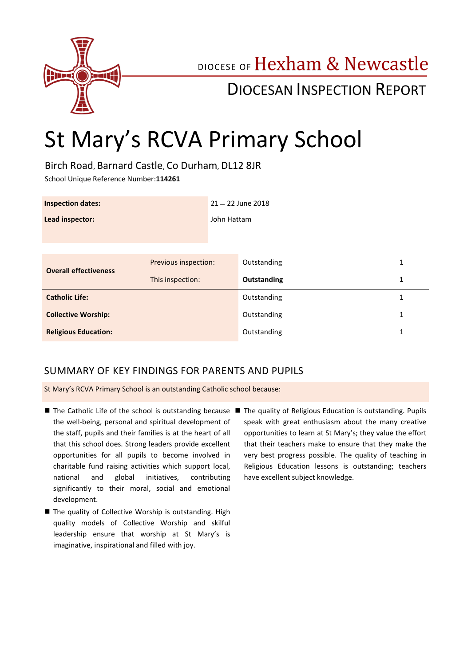

## DIOCESE OF Hexham & Newcastle

## DIOCESAN INSPECTION REPORT

# St Mary's RCVA Primary School

Birch Road, Barnard Castle, Co Durham, DL12 8JR

School Unique Reference Number:**114261**

| <b>Inspection dates:</b>     |                      | $21 - 22$ June 2018 |             |              |
|------------------------------|----------------------|---------------------|-------------|--------------|
| Lead inspector:              |                      | John Hattam         |             |              |
|                              |                      |                     |             |              |
|                              |                      |                     |             |              |
| <b>Overall effectiveness</b> | Previous inspection: |                     | Outstanding | $\mathbf{1}$ |
|                              | This inspection:     |                     | Outstanding | 1            |
| <b>Catholic Life:</b>        |                      |                     | Outstanding | 1            |
| <b>Collective Worship:</b>   |                      |                     | Outstanding | 1            |
| <b>Religious Education:</b>  |                      |                     | Outstanding | 1            |

## SUMMARY OF KEY FINDINGS FOR PARENTS AND PUPILS

St Mary's RCVA Primary School is an outstanding Catholic school because:

- The Catholic Life of the school is outstanding because The quality of Religious Education is outstanding. Pupils the well-being, personal and spiritual development of the staff, pupils and their families is at the heart of all that this school does. Strong leaders provide excellent opportunities for all pupils to become involved in charitable fund raising activities which support local, national and global initiatives, contributing significantly to their moral, social and emotional development.
- The quality of Collective Worship is outstanding. High quality models of Collective Worship and skilful leadership ensure that worship at St Mary's is imaginative, inspirational and filled with joy.

speak with great enthusiasm about the many creative opportunities to learn at St Mary's; they value the effort that their teachers make to ensure that they make the very best progress possible. The quality of teaching in Religious Education lessons is outstanding; teachers have excellent subject knowledge.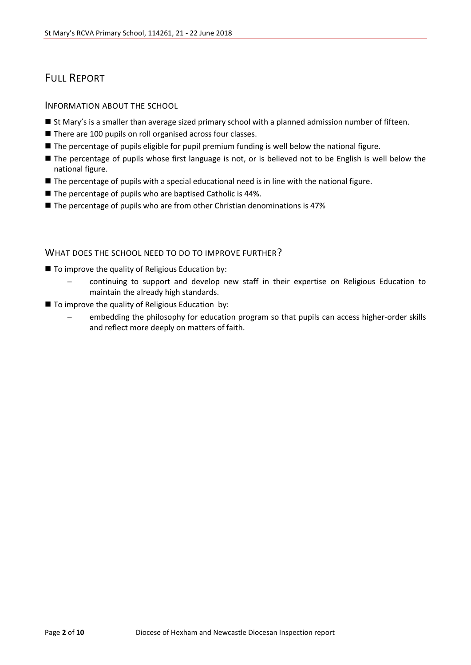## FULL REPORT

INFORMATION ABOUT THE SCHOOL

- **St Mary's is a smaller than average sized primary school with a planned admission number of fifteen.**
- There are 100 pupils on roll organised across four classes.
- **The percentage of pupils eligible for pupil premium funding is well below the national figure.**
- The percentage of pupils whose first language is not, or is believed not to be English is well below the national figure.
- The percentage of pupils with a special educational need is in line with the national figure.
- The percentage of pupils who are baptised Catholic is 44%.
- $\blacksquare$  The percentage of pupils who are from other Christian denominations is 47%

#### WHAT DOES THE SCHOOL NEED TO DO TO IMPROVE FURTHER?

- $\blacksquare$  To improve the quality of Religious Education by:
	- continuing to support and develop new staff in their expertise on Religious Education to maintain the already high standards.
- $\blacksquare$  To improve the quality of Religious Education by:
	- embedding the philosophy for education program so that pupils can access higher-order skills and reflect more deeply on matters of faith.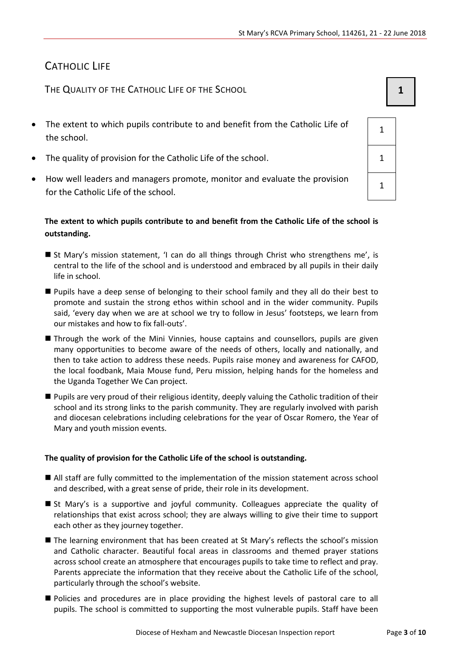## CATHOLIC LIFE

THE QUALITY OF THE CATHOLIC LIFE OF THE SCHOOL **1 1** 

- The extent to which pupils contribute to and benefit from the Catholic Life of the school.
- The quality of provision for the Catholic Life of the school.  $1 \t 1$
- How well leaders and managers promote, monitor and evaluate the provision for the Catholic Life of the school.

### **The extent to which pupils contribute to and benefit from the Catholic Life of the school is outstanding.**

- St Mary's mission statement, 'I can do all things through Christ who strengthens me', is central to the life of the school and is understood and embraced by all pupils in their daily life in school.
- Pupils have a deep sense of belonging to their school family and they all do their best to promote and sustain the strong ethos within school and in the wider community. Pupils said, 'every day when we are at school we try to follow in Jesus' footsteps, we learn from our mistakes and how to fix fall-outs'.
- Through the work of the Mini Vinnies, house captains and counsellors, pupils are given many opportunities to become aware of the needs of others, locally and nationally, and then to take action to address these needs. Pupils raise money and awareness for CAFOD, the local foodbank, Maia Mouse fund, Peru mission, helping hands for the homeless and the Uganda Together We Can project.
- **Pupils are very proud of their religious identity, deeply valuing the Catholic tradition of their** school and its strong links to the parish community. They are regularly involved with parish and diocesan celebrations including celebrations for the year of Oscar Romero, the Year of Mary and youth mission events.

#### **The quality of provision for the Catholic Life of the school is outstanding.**

- All staff are fully committed to the implementation of the mission statement across school and described, with a great sense of pride, their role in its development.
- St Mary's is a supportive and joyful community. Colleagues appreciate the quality of relationships that exist across school; they are always willing to give their time to support each other as they journey together.
- The learning environment that has been created at St Mary's reflects the school's mission and Catholic character. Beautiful focal areas in classrooms and themed prayer stations across school create an atmosphere that encourages pupils to take time to reflect and pray. Parents appreciate the information that they receive about the Catholic Life of the school, particularly through the school's website.
- **Policies and procedures are in place providing the highest levels of pastoral care to all** pupils. The school is committed to supporting the most vulnerable pupils. Staff have been

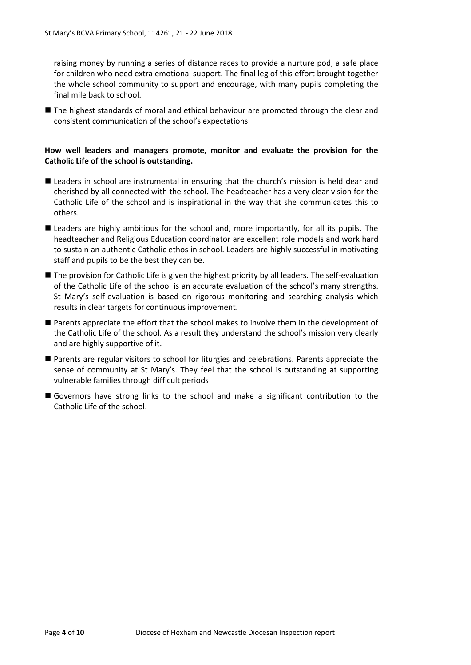raising money by running a series of distance races to provide a nurture pod, a safe place for children who need extra emotional support. The final leg of this effort brought together the whole school community to support and encourage, with many pupils completing the final mile back to school.

■ The highest standards of moral and ethical behaviour are promoted through the clear and consistent communication of the school's expectations.

#### **How well leaders and managers promote, monitor and evaluate the provision for the Catholic Life of the school is outstanding.**

- Leaders in school are instrumental in ensuring that the church's mission is held dear and cherished by all connected with the school. The headteacher has a very clear vision for the Catholic Life of the school and is inspirational in the way that she communicates this to others.
- Leaders are highly ambitious for the school and, more importantly, for all its pupils. The headteacher and Religious Education coordinator are excellent role models and work hard to sustain an authentic Catholic ethos in school. Leaders are highly successful in motivating staff and pupils to be the best they can be.
- The provision for Catholic Life is given the highest priority by all leaders. The self-evaluation of the Catholic Life of the school is an accurate evaluation of the school's many strengths. St Mary's self-evaluation is based on rigorous monitoring and searching analysis which results in clear targets for continuous improvement.
- Parents appreciate the effort that the school makes to involve them in the development of the Catholic Life of the school. As a result they understand the school's mission very clearly and are highly supportive of it.
- Parents are regular visitors to school for liturgies and celebrations. Parents appreciate the sense of community at St Mary's. They feel that the school is outstanding at supporting vulnerable families through difficult periods
- Governors have strong links to the school and make a significant contribution to the Catholic Life of the school.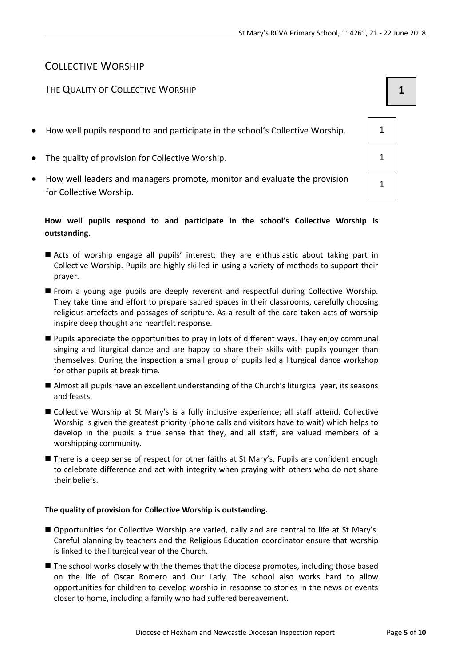1

## COLLECTIVE WORSHIP

## THE QUALITY OF COLLECTIVE WORSHIP **1 1**

- How well pupils respond to and participate in the school's Collective Worship.  $\vert$  1
- The quality of provision for Collective Worship. The quality of provision for Collective Worship.
- How well leaders and managers promote, monitor and evaluate the provision for Collective Worship.

### **How well pupils respond to and participate in the school's Collective Worship is outstanding.**

- Acts of worship engage all pupils' interest; they are enthusiastic about taking part in Collective Worship. Pupils are highly skilled in using a variety of methods to support their prayer.
- From a young age pupils are deeply reverent and respectful during Collective Worship. They take time and effort to prepare sacred spaces in their classrooms, carefully choosing religious artefacts and passages of scripture. As a result of the care taken acts of worship inspire deep thought and heartfelt response.
- Pupils appreciate the opportunities to pray in lots of different ways. They enjoy communal singing and liturgical dance and are happy to share their skills with pupils younger than themselves. During the inspection a small group of pupils led a liturgical dance workshop for other pupils at break time.
- Almost all pupils have an excellent understanding of the Church's liturgical year, its seasons and feasts.
- Collective Worship at St Mary's is a fully inclusive experience; all staff attend. Collective Worship is given the greatest priority (phone calls and visitors have to wait) which helps to develop in the pupils a true sense that they, and all staff, are valued members of a worshipping community.
- There is a deep sense of respect for other faiths at St Mary's. Pupils are confident enough to celebrate difference and act with integrity when praying with others who do not share their beliefs.

#### **The quality of provision for Collective Worship is outstanding.**

- Opportunities for Collective Worship are varied, daily and are central to life at St Mary's. Careful planning by teachers and the Religious Education coordinator ensure that worship is linked to the liturgical year of the Church.
- **The school works closely with the themes that the diocese promotes, including those based** on the life of Oscar Romero and Our Lady. The school also works hard to allow opportunities for children to develop worship in response to stories in the news or events closer to home, including a family who had suffered bereavement.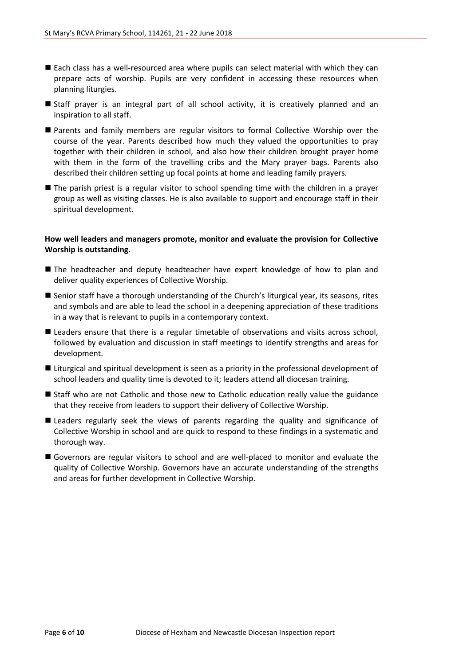- Each class has a well-resourced area where pupils can select material with which they can prepare acts of worship. Pupils are very confident in accessing these resources when planning liturgies.
- Staff prayer is an integral part of all school activity, it is creatively planned and an inspiration to all staff.
- Parents and family members are regular visitors to formal Collective Worship over the course of the year. Parents described how much they valued the opportunities to pray together with their children in school, and also how their children brought prayer home with them in the form of the travelling cribs and the Mary prayer bags. Parents also described their children setting up focal points at home and leading family prayers.
- The parish priest is a regular visitor to school spending time with the children in a prayer group as well as visiting classes. He is also available to support and encourage staff in their spiritual development.

#### **How well leaders and managers promote, monitor and evaluate the provision for Collective Worship is outstanding.**

- **The headteacher and deputy headteacher have expert knowledge of how to plan and** deliver quality experiences of Collective Worship.
- Senior staff have a thorough understanding of the Church's liturgical year, its seasons, rites and symbols and are able to lead the school in a deepening appreciation of these traditions in a way that is relevant to pupils in a contemporary context.
- **Leaders ensure that there is a regular timetable of observations and visits across school,** followed by evaluation and discussion in staff meetings to identify strengths and areas for development.
- **E** Liturgical and spiritual development is seen as a priority in the professional development of school leaders and quality time is devoted to it; leaders attend all diocesan training.
- Staff who are not Catholic and those new to Catholic education really value the guidance that they receive from leaders to support their delivery of Collective Worship.
- Leaders regularly seek the views of parents regarding the quality and significance of Collective Worship in school and are quick to respond to these findings in a systematic and thorough way.
- Governors are regular visitors to school and are well-placed to monitor and evaluate the quality of Collective Worship. Governors have an accurate understanding of the strengths and areas for further development in Collective Worship.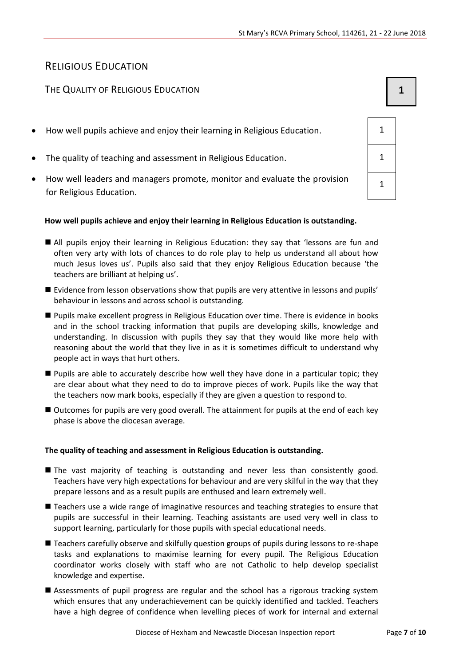## RELIGIOUS EDUCATION

## The Quality of Religious Education **1 1 1**

- How well pupils achieve and enjoy their learning in Religious Education. 1
- The quality of teaching and assessment in Religious Education. 1 1
- How well leaders and managers promote, monitor and evaluate the provision for Religious Education.

#### **How well pupils achieve and enjoy their learning in Religious Education is outstanding.**

- All pupils enjoy their learning in Religious Education: they say that 'lessons are fun and often very arty with lots of chances to do role play to help us understand all about how much Jesus loves us'. Pupils also said that they enjoy Religious Education because 'the teachers are brilliant at helping us'.
- $\blacksquare$  Evidence from lesson observations show that pupils are very attentive in lessons and pupils' behaviour in lessons and across school is outstanding.
- Pupils make excellent progress in Religious Education over time. There is evidence in books and in the school tracking information that pupils are developing skills, knowledge and understanding. In discussion with pupils they say that they would like more help with reasoning about the world that they live in as it is sometimes difficult to understand why people act in ways that hurt others.
- Pupils are able to accurately describe how well they have done in a particular topic; they are clear about what they need to do to improve pieces of work. Pupils like the way that the teachers now mark books, especially if they are given a question to respond to.
- Outcomes for pupils are very good overall. The attainment for pupils at the end of each key phase is above the diocesan average.

#### **The quality of teaching and assessment in Religious Education is outstanding.**

- The vast majority of teaching is outstanding and never less than consistently good. Teachers have very high expectations for behaviour and are very skilful in the way that they prepare lessons and as a result pupils are enthused and learn extremely well.
- Teachers use a wide range of imaginative resources and teaching strategies to ensure that pupils are successful in their learning. Teaching assistants are used very well in class to support learning, particularly for those pupils with special educational needs.
- Teachers carefully observe and skilfully question groups of pupils during lessons to re-shape tasks and explanations to maximise learning for every pupil. The Religious Education coordinator works closely with staff who are not Catholic to help develop specialist knowledge and expertise.
- Assessments of pupil progress are regular and the school has a rigorous tracking system which ensures that any underachievement can be quickly identified and tackled. Teachers have a high degree of confidence when levelling pieces of work for internal and external

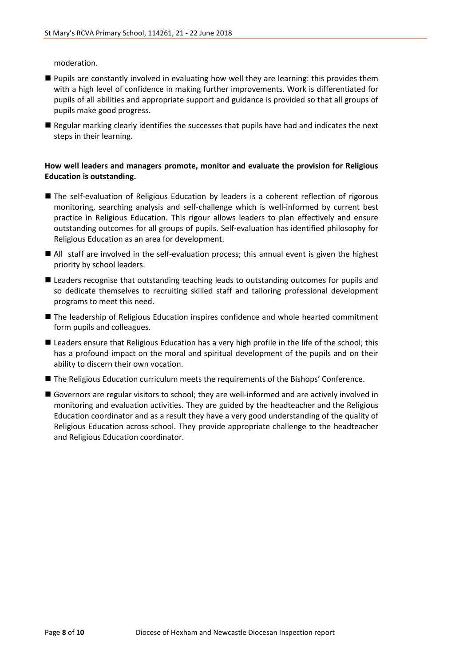moderation.

- Pupils are constantly involved in evaluating how well they are learning: this provides them with a high level of confidence in making further improvements. Work is differentiated for pupils of all abilities and appropriate support and guidance is provided so that all groups of pupils make good progress.
- Regular marking clearly identifies the successes that pupils have had and indicates the next steps in their learning.

#### **How well leaders and managers promote, monitor and evaluate the provision for Religious Education is outstanding.**

- The self-evaluation of Religious Education by leaders is a coherent reflection of rigorous monitoring, searching analysis and self-challenge which is well-informed by current best practice in Religious Education. This rigour allows leaders to plan effectively and ensure outstanding outcomes for all groups of pupils. Self-evaluation has identified philosophy for Religious Education as an area for development.
- All staff are involved in the self-evaluation process; this annual event is given the highest priority by school leaders.
- **Leaders recognise that outstanding teaching leads to outstanding outcomes for pupils and** so dedicate themselves to recruiting skilled staff and tailoring professional development programs to meet this need.
- The leadership of Religious Education inspires confidence and whole hearted commitment form pupils and colleagues.
- Leaders ensure that Religious Education has a very high profile in the life of the school; this has a profound impact on the moral and spiritual development of the pupils and on their ability to discern their own vocation.
- The Religious Education curriculum meets the requirements of the Bishops' Conference.
- Governors are regular visitors to school; they are well-informed and are actively involved in monitoring and evaluation activities. They are guided by the headteacher and the Religious Education coordinator and as a result they have a very good understanding of the quality of Religious Education across school. They provide appropriate challenge to the headteacher and Religious Education coordinator.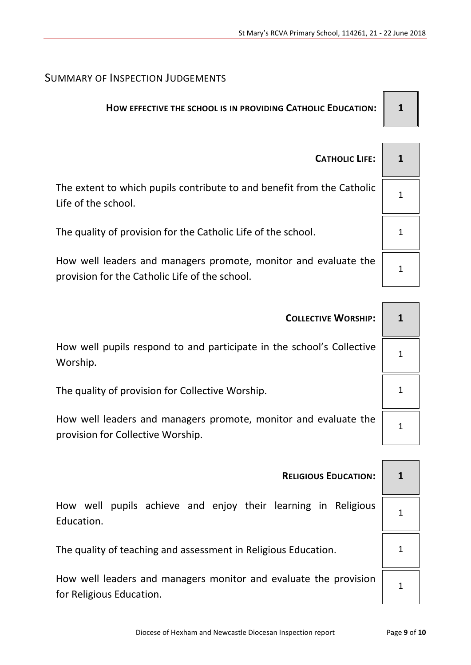## SUMMARY OF INSPECTION JUDGEMENTS

## **HOW EFFECTIVE THE SCHOOL IS IN PROVIDING CATHOLIC EDUCATION: 1**

| <b>CATHOLIC LIFE:</b>                                                                                             |  |
|-------------------------------------------------------------------------------------------------------------------|--|
| The extent to which pupils contribute to and benefit from the Catholic<br>Life of the school.                     |  |
| The quality of provision for the Catholic Life of the school.                                                     |  |
| How well leaders and managers promote, monitor and evaluate the<br>provision for the Catholic Life of the school. |  |

| <b>COLLECTIVE WORSHIP:</b>                                                                           |  |  |  |
|------------------------------------------------------------------------------------------------------|--|--|--|
| How well pupils respond to and participate in the school's Collective<br>Worship.                    |  |  |  |
| The quality of provision for Collective Worship.                                                     |  |  |  |
| How well leaders and managers promote, monitor and evaluate the<br>provision for Collective Worship. |  |  |  |
|                                                                                                      |  |  |  |
| <b>RELIGIOUS EDUCATION:</b>                                                                          |  |  |  |

How well pupils achieve and enjoy their learning in Religious Education.

The quality of teaching and assessment in Religious Education.  $\begin{vmatrix} 1 & 1 \\ 1 & 1 \end{vmatrix}$ 

How well leaders and managers monitor and evaluate the provision for Religious Education.

1